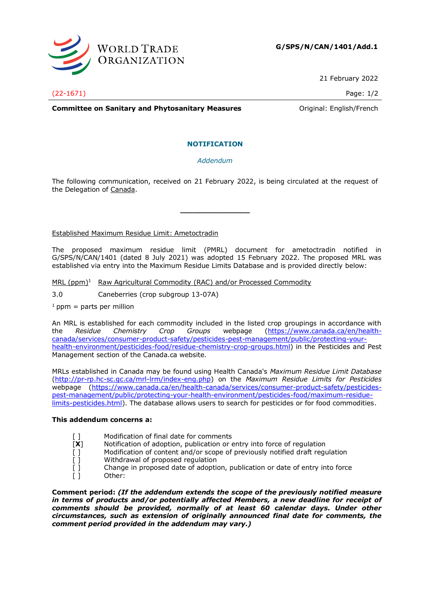

21 February 2022

(22-1671) Page: 1/2

**Committee on Sanitary and Phytosanitary Measures Committee on Sanitary and Phytosanitary Measures Committee on Sanitary American** 

# **NOTIFICATION**

# *Addendum*

The following communication, received on 21 February 2022, is being circulated at the request of the Delegation of Canada.

**\_\_\_\_\_\_\_\_\_\_\_\_\_\_\_**

## Established Maximum Residue Limit: Ametoctradin

The proposed maximum residue limit (PMRL) document for ametoctradin notified in G/SPS/N/CAN/1401 (dated 8 July 2021) was adopted 15 February 2022. The proposed MRL was established via entry into the Maximum Residue Limits Database and is provided directly below:

MRL  $(ppm)^1$  Raw Agricultural Commodity (RAC) and/or Processed Commodity

- 3.0 Caneberries (crop subgroup 13-07A)
- $1$  ppm = parts per million

An MRL is established for each commodity included in the listed crop groupings in accordance with the Residue Chemistry Crop Groups webpage (https://www.canada.ca/en/healththe *Residue Chemistry Crop Groups* webpage [\(https://www.canada.ca/en/health](https://www.canada.ca/en/health-canada/services/consumer-product-safety/pesticides-pest-management/public/protecting-your-health-environment/pesticides-food/residue-chemistry-crop-groups.html)[canada/services/consumer-product-safety/pesticides-pest-management/public/protecting-your](https://www.canada.ca/en/health-canada/services/consumer-product-safety/pesticides-pest-management/public/protecting-your-health-environment/pesticides-food/residue-chemistry-crop-groups.html)[health-environment/pesticides-food/residue-chemistry-crop-groups.html\)](https://www.canada.ca/en/health-canada/services/consumer-product-safety/pesticides-pest-management/public/protecting-your-health-environment/pesticides-food/residue-chemistry-crop-groups.html) in the Pesticides and Pest Management section of the Canada.ca website.

MRLs established in Canada may be found using Health Canada's *Maximum Residue Limit Database* [\(http://pr-rp.hc-sc.gc.ca/mrl-lrm/index-eng.php\)](http://pr-rp.hc-sc.gc.ca/mrl-lrm/index-eng.php) on the *Maximum Residue Limits for Pesticides*  webpage [\(https://www.canada.ca/en/health-canada/services/consumer-product-safety/pesticides](https://www.canada.ca/en/health-canada/services/consumer-product-safety/pesticides-pest-management/public/protecting-your-health-environment/pesticides-food/maximum-residue-limits-pesticides.html)[pest-management/public/protecting-your-health-environment/pesticides-food/maximum-residue](https://www.canada.ca/en/health-canada/services/consumer-product-safety/pesticides-pest-management/public/protecting-your-health-environment/pesticides-food/maximum-residue-limits-pesticides.html)[limits-pesticides.html\)](https://www.canada.ca/en/health-canada/services/consumer-product-safety/pesticides-pest-management/public/protecting-your-health-environment/pesticides-food/maximum-residue-limits-pesticides.html). The database allows users to search for pesticides or for food commodities.

## **This addendum concerns a:**

- [] Modification of final date for comments
- [**X**] Notification of adoption, publication or entry into force of regulation
- [ ] Modification of content and/or scope of previously notified draft requlation
- [ ] Withdrawal of proposed regulation
- [ ] Change in proposed date of adoption, publication or date of entry into force
- [ ] Other:

**Comment period:** *(If the addendum extends the scope of the previously notified measure*  in terms of products and/or potentially affected Members, a new deadline for receipt of *comments should be provided, normally of at least 60 calendar days. Under other circumstances, such as extension of originally announced final date for comments, the comment period provided in the addendum may vary.)*